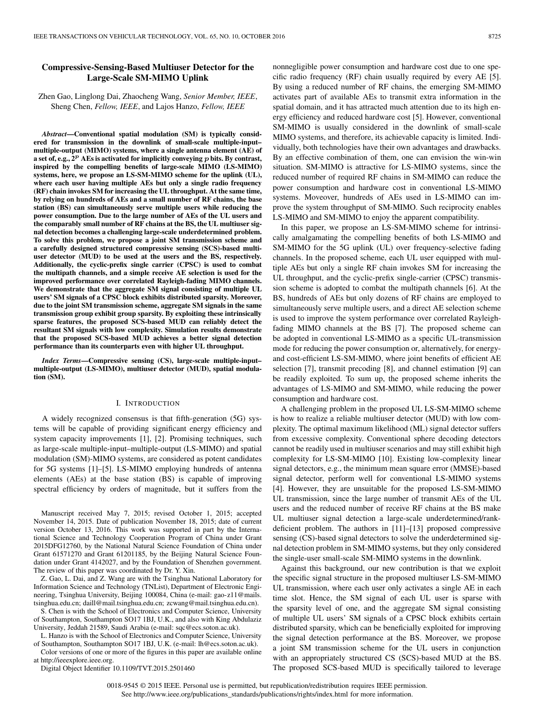## **Compressive-Sensing-Based Multiuser Detector for the Large-Scale SM-MIMO Uplink**

Zhen Gao, Linglong Dai, Zhaocheng Wang, *Senior Member, IEEE*, Sheng Chen, *Fellow, IEEE*, and Lajos Hanzo, *Fellow, IEEE*

*Abstract***—Conventional spatial modulation (SM) is typically considered for transmission in the downlink of small-scale multiple-input– multiple-output (MIMO) systems, where a single antenna element (AE) of a set of, e.g., 2***<sup>p</sup>* **AEs is activated for implicitly conveying** *p* **bits. By contrast, inspired by the compelling benefits of large-scale MIMO (LS-MIMO) systems, here, we propose an LS-SM-MIMO scheme for the uplink (UL), where each user having multiple AEs but only a single radio frequency (RF) chain invokes SM for increasing the UL throughput. At the same time, by relying on hundreds of AEs and a small number of RF chains, the base station (BS) can simultaneously serve multiple users while reducing the power consumption. Due to the large number of AEs of the UL users and the comparably small number of RF chains at the BS, the UL multiuser signal detection becomes a challenging large-scale underdetermined problem. To solve this problem, we propose a joint SM transmission scheme and a carefully designed structured compressive sensing (SCS)-based multiuser detector (MUD) to be used at the users and the BS, respectively. Additionally, the cyclic-prefix single carrier (CPSC) is used to combat the multipath channels, and a simple receive AE selection is used for the improved performance over correlated Rayleigh-fading MIMO channels. We demonstrate that the aggregate SM signal consisting of multiple UL users' SM signals of a CPSC block exhibits distributed sparsity. Moreover, due to the joint SM transmission scheme, aggregate SM signals in the same transmission group exhibit group sparsity. By exploiting these intrinsically sparse features, the proposed SCS-based MUD can reliably detect the resultant SM signals with low complexity. Simulation results demonstrate that the proposed SCS-based MUD achieves a better signal detection performance than its counterparts even with higher UL throughput.**

*Index Terms***—Compressive sensing (CS), large-scale multiple-input– multiple-output (LS-MIMO), multiuser detector (MUD), spatial modulation (SM).**

#### I. INTRODUCTION

A widely recognized consensus is that fifth-generation (5G) systems will be capable of providing significant energy efficiency and system capacity improvements [1], [2]. Promising techniques, such as large-scale multiple-input–multiple-output (LS-MIMO) and spatial modulation (SM)-MIMO systems, are considered as potent candidates for 5G systems [1]–[5]. LS-MIMO employing hundreds of antenna elements (AEs) at the base station (BS) is capable of improving spectral efficiency by orders of magnitude, but it suffers from the

Manuscript received May 7, 2015; revised October 1, 2015; accepted November 14, 2015. Date of publication November 18, 2015; date of current version October 13, 2016. This work was supported in part by the International Science and Technology Cooperation Program of China under Grant 2015DFG12760, by the National Natural Science Foundation of China under Grant 61571270 and Grant 61201185, by the Beijing Natural Science Foundation under Grant 4142027, and by the Foundation of Shenzhen government. The review of this paper was coordinated by Dr. Y. Xin.

Z. Gao, L. Dai, and Z. Wang are with the Tsinghua National Laboratory for Information Science and Technology (TNList), Department of Electronic Engineering, Tsinghua University, Beijing 100084, China (e-mail: [gao-z11@mails.](mailto: gao-z11@mails.tsinghua.edu.cn) [tsinghua.edu.cn;](mailto: gao-z11@mails.tsinghua.edu.cn) [daill@mail.tsinghua.edu.cn;](mailto: daill@mail.tsinghua.edu.cn) [zcwang@mail.tsinghua.edu.cn\)](mailto: zcwang@mail.tsinghua.edu.cn).

S. Chen is with the School of Electronics and Computer Science, University of Southampton, Southampton SO17 1BJ, U.K., and also with King Abdulaziz University, Jeddah 21589, Saudi Arabia (e-mail: [sqc@ecs.soton.ac.uk\)](mailto: sqc@ecs.soton.ac.uk).

L. Hanzo is with the School of Electronics and Computer Science, University of Southampton, Southampton SO17 1BJ, U.K. (e-mail: [lh@ecs.soton.ac.uk\)](mailto: lh@ecs.soton.ac.uk).

Color versions of one or more of the figures in this paper are available online at http://ieeexplore.ieee.org.

Digital Object Identifier 10.1109/TVT.2015.2501460

nonnegligible power consumption and hardware cost due to one specific radio frequency (RF) chain usually required by every AE [5]. By using a reduced number of RF chains, the emerging SM-MIMO activates part of available AEs to transmit extra information in the spatial domain, and it has attracted much attention due to its high energy efficiency and reduced hardware cost [5]. However, conventional SM-MIMO is usually considered in the downlink of small-scale MIMO systems, and therefore, its achievable capacity is limited. Individually, both technologies have their own advantages and drawbacks. By an effective combination of them, one can envision the win-win situation. SM-MIMO is attractive for LS-MIMO systems, since the reduced number of required RF chains in SM-MIMO can reduce the power consumption and hardware cost in conventional LS-MIMO systems. Moveover, hundreds of AEs used in LS-MIMO can improve the system throughput of SM-MIMO. Such reciprocity enables LS-MIMO and SM-MIMO to enjoy the apparent compatibility.

In this paper, we propose an LS-SM-MIMO scheme for intrinsically amalgamating the compelling benefits of both LS-MIMO and SM-MIMO for the 5G uplink (UL) over frequency-selective fading channels. In the proposed scheme, each UL user equipped with multiple AEs but only a single RF chain invokes SM for increasing the UL throughput, and the cyclic-prefix single-carrier (CPSC) transmission scheme is adopted to combat the multipath channels [6]. At the BS, hundreds of AEs but only dozens of RF chains are employed to simultaneously serve multiple users, and a direct AE selection scheme is used to improve the system performance over correlated Rayleighfading MIMO channels at the BS [7]. The proposed scheme can be adopted in conventional LS-MIMO as a specific UL-transmission mode for reducing the power consumption or, alternatively, for energyand cost-efficient LS-SM-MIMO, where joint benefits of efficient AE selection [7], transmit precoding [8], and channel estimation [9] can be readily exploited. To sum up, the proposed scheme inherits the advantages of LS-MIMO and SM-MIMO, while reducing the power consumption and hardware cost.

A challenging problem in the proposed UL LS-SM-MIMO scheme is how to realize a reliable multiuser detector (MUD) with low complexity. The optimal maximum likelihood (ML) signal detector suffers from excessive complexity. Conventional sphere decoding detectors cannot be readily used in multiuser scenarios and may still exhibit high complexity for LS-SM-MIMO [10]. Existing low-complexity linear signal detectors, e.g., the minimum mean square error (MMSE)-based signal detector, perform well for conventional LS-MIMO systems [4]. However, they are unsuitable for the proposed LS-SM-MIMO UL transmission, since the large number of transmit AEs of the UL users and the reduced number of receive RF chains at the BS make UL multiuser signal detection a large-scale underdetermined/rankdeficient problem. The authors in [11]–[13] proposed compressive sensing (CS)-based signal detectors to solve the underdetermined signal detection problem in SM-MIMO systems, but they only considered the single-user small-scale SM-MIMO systems in the downlink.

Against this background, our new contribution is that we exploit the specific signal structure in the proposed multiuser LS-SM-MIMO UL transmission, where each user only activates a single AE in each time slot. Hence, the SM signal of each UL user is sparse with the sparsity level of one, and the aggregate SM signal consisting of multiple UL users' SM signals of a CPSC block exhibits certain distributed sparsity, which can be beneficially exploited for improving the signal detection performance at the BS. Moreover, we propose a joint SM transmission scheme for the UL users in conjunction with an appropriately structured CS (SCS)-based MUD at the BS. The proposed SCS-based MUD is specifically tailored to leverage

0018-9545 © 2015 IEEE. Personal use is permitted, but republication/redistribution requires IEEE permission. See http://www.ieee.org/publications\_standards/publications/rights/index.html for more information.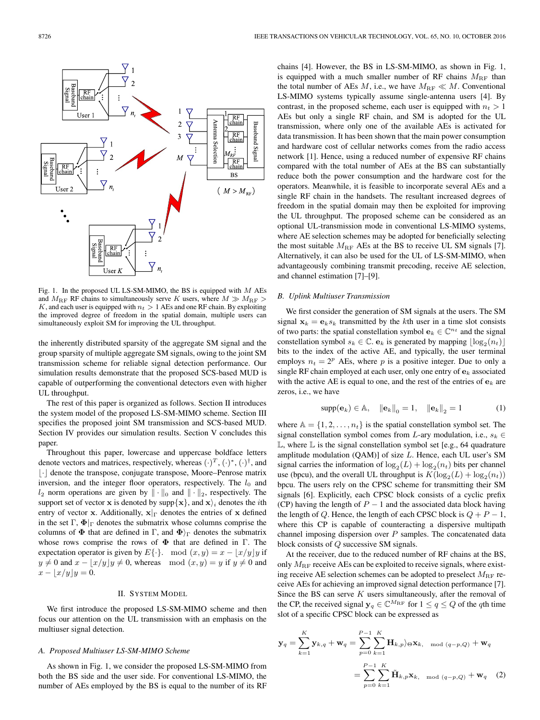

Fig. 1. In the proposed UL LS-SM-MIMO, the BS is equipped with  $M$  AEs and  $M_{\text{RF}}$  RF chains to simultaneously serve K users, where  $M \gg M_{\text{RF}} >$ K, and each user is equipped with  $n_t > 1$  AEs and one RF chain. By exploiting the improved degree of freedom in the spatial domain, multiple users can simultaneously exploit SM for improving the UL throughput.

the inherently distributed sparsity of the aggregate SM signal and the group sparsity of multiple aggregate SM signals, owing to the joint SM transmission scheme for reliable signal detection performance. Our simulation results demonstrate that the proposed SCS-based MUD is capable of outperforming the conventional detectors even with higher UL throughput.

The rest of this paper is organized as follows. Section II introduces the system model of the proposed LS-SM-MIMO scheme. Section III specifies the proposed joint SM transmission and SCS-based MUD. Section IV provides our simulation results. Section V concludes this paper.

Throughout this paper, lowercase and uppercase boldface letters denote vectors and matrices, respectively, whereas  $(\cdot)^T$ ,  $(\cdot)^*$ ,  $(\cdot)^{\dagger}$ , and |  $\cdot$ | denote the transpose, conjugate transpose, Moore–Penrose matrix inversion, and the integer floor operators, respectively. The  $l_0$  and  $l_2$  norm operations are given by  $\|\cdot\|_0$  and  $\|\cdot\|_2$ , respectively. The support set of vector **x** is denoted by  $\sup\{\mathbf{x}\}$ , and  $\mathbf{x}\}$  denotes the *i*th entry of vector **x**. Additionally,  $\mathbf{x}|_{\Gamma}$  denotes the entries of **x** defined in the set  $\Gamma$ ,  $\Phi|_{\Gamma}$  denotes the submatrix whose columns comprise the columns of  $\Phi$  that are defined in Γ, and  $\Phi$ <sub>)</sub> denotes the submatrix whose rows comprise the rows of **Φ** that are defined in Γ. The expectation operator is given by  $E\{\cdot\}$ . mod  $(x, y) = x - \lfloor x/y \rfloor y$  if  $y \neq 0$  and  $x - \lfloor x/y \rfloor y \neq 0$ , whereas mod  $(x, y) = y$  if  $y \neq 0$  and  $x - |x/y|y = 0.$ 

#### II. SYSTEM MODEL

We first introduce the proposed LS-SM-MIMO scheme and then focus our attention on the UL transmission with an emphasis on the multiuser signal detection.

#### *A. Proposed Multiuser LS-SM-MIMO Scheme*

As shown in Fig. 1, we consider the proposed LS-SM-MIMO from both the BS side and the user side. For conventional LS-MIMO, the number of AEs employed by the BS is equal to the number of its RF chains [4]. However, the BS in LS-SM-MIMO, as shown in Fig. 1, is equipped with a much smaller number of RF chains  $M_{\text{RF}}$  than the total number of AEs  $M$ , i.e., we have  $M_{\rm RF}\ll M$ . Conventional LS-MIMO systems typically assume single-antenna users [4]. By contrast, in the proposed scheme, each user is equipped with  $n_t > 1$ AEs but only a single RF chain, and SM is adopted for the UL transmission, where only one of the available AEs is activated for data transmission. It has been shown that the main power consumption and hardware cost of cellular networks comes from the radio access network [1]. Hence, using a reduced number of expensive RF chains compared with the total number of AEs at the BS can substantially reduce both the power consumption and the hardware cost for the operators. Meanwhile, it is feasible to incorporate several AEs and a single RF chain in the handsets. The resultant increased degrees of freedom in the spatial domain may then be exploited for improving the UL throughput. The proposed scheme can be considered as an optional UL-transmission mode in conventional LS-MIMO systems, where AE selection schemes may be adopted for beneficially selecting the most suitable  $M_{\text{RF}}$  AEs at the BS to receive UL SM signals [7]. Alternatively, it can also be used for the UL of LS-SM-MIMO, when advantageously combining transmit precoding, receive AE selection, and channel estimation [7]–[9].

#### *B. Uplink Multiuser Transmission*

We first consider the generation of SM signals at the users. The SM signal  $\mathbf{x}_k = \mathbf{e}_k s_k$  transmitted by the kth user in a time slot consists of two parts: the spatial constellation symbol  $e_k \in \mathbb{C}^{n_t}$  and the signal constellation symbol  $s_k \in \mathbb{C}$ .  $\mathbf{e}_k$  is generated by mapping  $\lfloor \log_2(n_t) \rfloor$ bits to the index of the active AE, and typically, the user terminal employs  $n_t = 2^p$  AEs, where p is a positive integer. Due to only a single RF chain employed at each user, only one entry of  $e_k$  associated with the active AE is equal to one, and the rest of the entries of  $\mathbf{e}_k$  are zeros, i.e., we have

$$
supp(\mathbf{e}_k) \in \mathbb{A}, \quad ||\mathbf{e}_k||_0 = 1, \quad ||\mathbf{e}_k||_2 = 1
$$
 (1)

where  $A = \{1, 2, \ldots, n_t\}$  is the spatial constellation symbol set. The signal constellation symbol comes from L-ary modulation, i.e.,  $s_k \in$  $\mathbb L$ , where  $\mathbb L$  is the signal constellation symbol set [e.g., 64 quadrature amplitude modulation (QAM)] of size L. Hence, each UL user's SM signal carries the information of  $\log_2(L) + \log_2(n_t)$  bits per channel use (bpcu), and the overall UL throughput is  $K(\log_2(L) + \log_2(n_t))$ bpcu. The users rely on the CPSC scheme for transmitting their SM signals [6]. Explicitly, each CPSC block consists of a cyclic prefix (CP) having the length of  $P - 1$  and the associated data block having the length of Q. Hence, the length of each CPSC block is  $Q + P - 1$ , where this CP is capable of counteracting a dispersive multipath channel imposing dispersion over  $P$  samples. The concatenated data block consists of Q successive SM signals.

At the receiver, due to the reduced number of RF chains at the BS, only  $M_{\text{RF}}$  receive AEs can be exploited to receive signals, where existing receive AE selection schemes can be adopted to preselect  $M_{\rm RF}$  receive AEs for achieving an improved signal detection performance [7]. Since the BS can serve  $K$  users simultaneously, after the removal of the CP, the received signal  $y_q \in \mathbb{C}^{M_{\rm RF}}$  for  $1 \leq q \leq Q$  of the qth time slot of a specific CPSC block can be expressed as

$$
\mathbf{y}_{q} = \sum_{k=1}^{K} \mathbf{y}_{k,q} + \mathbf{w}_{q} = \sum_{p=0}^{P-1} \sum_{k=1}^{K} \mathbf{H}_{k,p} \rangle_{\Theta} \mathbf{x}_{k, \mod (q-p,Q)} + \mathbf{w}_{q}
$$

$$
= \sum_{p=0}^{P-1} \sum_{k=1}^{K} \tilde{\mathbf{H}}_{k,p} \mathbf{x}_{k, \mod (q-p,Q)} + \mathbf{w}_{q} \quad (2)
$$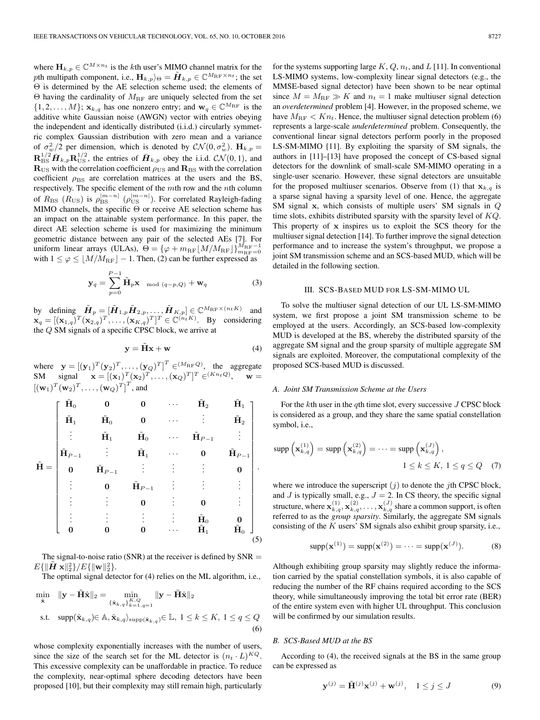where  $\mathbf{H}_{k,p} \in \mathbb{C}^{M \times n_t}$  is the *k*th user's MIMO channel matrix for the pth multipath component, i.e.,  $\mathbf{H}_{k,p}$ <sub> $\Theta$ </sub> =  $\tilde{\mathbf{H}}_{k,p} \in \mathbb{C}^{M_{\rm RF} \times n_t}$ ; the set Θ is determined by the AE selection scheme used; the elements of Θ having the cardinality of  $M_{\text{RF}}$  are uniquely selected from the set  $\{1, 2, \ldots, M\}$ ;  $\mathbf{x}_{k,q}$  has one nonzero entry; and  $\mathbf{w}_q \in \mathbb{C}^{M_{\text{RF}}}$  is the additive white Gaussian noise (AWGN) vector with entries obeying the independent and identically distributed (i.i.d.) circularly symmetric complex Gaussian distribution with zero mean and a variance of  $\sigma_w^2/2$  per dimension, which is denoted by  $\mathcal{CN}(0, \sigma_w^2)$ .  $\mathbf{H}_{k,p} =$  $\mathbf{R}_{\rm BS}^{1/2} \bar{\mathbf{H}}_{k,p} \mathbf{R}_{\rm US}^{1/2}$ , the entries of  $\bar{\mathbf{H}}_{k,p}$  obey the i.i.d.  $\mathcal{CN}(0,1)$ , and  $\mathbf{R}_{\text{US}}$  with the correlation coefficient  $\rho_{\text{US}}$  and  $\mathbf{R}_{\text{BS}}$  with the correlation coefficient  $\rho_{\rm BS}$  are correlation matrices at the users and the BS, respectively. The specific element of the mth row and the nth column of  $R_{\text{BS}}$   $(R_{\text{US}})$  is  $\rho_{\text{BS}}^{|m-n|}$  ( $\rho_{\text{US}}^{|m-n|}$ ). For correlated Rayleigh-fading MIMO channels, the specific Θ or receive AE selection scheme has an impact on the attainable system performance. In this paper, the direct AE selection scheme is used for maximizing the minimum geometric distance between any pair of the selected AEs [7]. For uniform linear arrays (ULAs),  $\Theta = {\varphi + m_{\text{RF}} \lfloor M / M_{\text{RF}} \rfloor} \binom{M_{\text{RF}}-1}{m_{\text{RF}}-0}$ with  $1 \leq \varphi \leq \lfloor M/M_{\rm RF} \rfloor - 1$ . Then, (2) can be further expressed as

$$
\mathbf{y}_q = \sum_{p=0}^{P-1} \tilde{\mathbf{H}}_p \mathbf{x} \mod (q-p,Q) + \mathbf{W}_q
$$
 (3)

by defining  $\tilde{H}_p = [\tilde{H}_{1,p} \tilde{H}_{2,p}, \dots, \tilde{H}_{K,p}] \in \mathbb{C}^{M_{\text{RF}} \times (n_t K)}$  and  $\mathbf{x}_q = [(\mathbf{x}_{1,q})^T (\mathbf{x}_{2,q})^T, \dots, (\mathbf{x}_{K,q})^T]^T \in \mathbb{C}^{(n_t K)}$ . By considering the  $Q$  SM signals of a specific CPSC block, we arrive at

$$
y = \tilde{H}x + w \tag{4}
$$

where  $\mathbf{y} = [(\mathbf{y}_1)^T (\mathbf{y}_2)^T, \dots, (\mathbf{y}_Q)^T]^T \in (M_{\rm RF}Q)$ , the aggregate SM signal  $\mathbf{x} = [(\mathbf{x}_1)^T (\mathbf{x}_2)^T, \dots, (\mathbf{x}_Q)^T]^T \in (K_{n+Q}), \mathbf{w} =$  $[(\mathbf{w}_1)^T(\mathbf{w}_2)^T,\ldots,(\mathbf{w}_Q)^T]^T$ , and

$$
\tilde{\mathbf{H}} = \begin{bmatrix}\n\tilde{\mathbf{H}}_0 & \mathbf{0} & \mathbf{0} & \cdots & \tilde{\mathbf{H}}_2 & \tilde{\mathbf{H}}_1 \\
\tilde{\mathbf{H}}_1 & \tilde{\mathbf{H}}_0 & \mathbf{0} & \cdots & \vdots & \tilde{\mathbf{H}}_2 \\
\vdots & \tilde{\mathbf{H}}_1 & \tilde{\mathbf{H}}_0 & \cdots & \tilde{\mathbf{H}}_{P-1} & \vdots \\
\tilde{\mathbf{H}}_{P-1} & \vdots & \tilde{\mathbf{H}}_1 & \cdots & \mathbf{0} & \tilde{\mathbf{H}}_{P-1} \\
\mathbf{0} & \tilde{\mathbf{H}}_{P-1} & \vdots & \vdots & \vdots & \mathbf{0} \\
\vdots & \mathbf{0} & \tilde{\mathbf{H}}_{P-1} & \vdots & \vdots & \vdots \\
\vdots & \vdots & \vdots & \ddots & \mathbf{0} & \vdots \\
\vdots & \vdots & \vdots & \vdots & \vdots & \tilde{\mathbf{H}}_0 & \mathbf{0} \\
\mathbf{0} & \mathbf{0} & \mathbf{0} & \cdots & \tilde{\mathbf{H}}_1 & \tilde{\mathbf{H}}_0\n\end{bmatrix}.
$$

The signal-to-noise ratio (SNR) at the receiver is defined by  $SNR =$  $E\{\lVert \tilde{\bm{H}} \ \mathbf{x}\rVert_2^2\}/E\{\lVert \mathbf{w}\rVert_2^2\}.$ 

The optimal signal detector for (4) relies on the ML algorithm, i.e.,

$$
\min_{\hat{\mathbf{x}}} \quad \|\mathbf{y} - \tilde{\mathbf{H}}\hat{\mathbf{x}}\|_{2} = \min_{\{\hat{\mathbf{x}}_{k,q}\}_{k=1,q=1}^{K,Q}} \|\mathbf{y} - \tilde{\mathbf{H}}\hat{\mathbf{x}}\|_{2}
$$
\n
$$
\text{s.t.} \quad \text{supp}(\hat{\mathbf{x}}_{k,q}) \in \mathbb{A}, \hat{\mathbf{x}}_{k,q} \}_{\text{supp}(\hat{\mathbf{x}}_{k,q})} \in \mathbb{L}, \ 1 \le k \le K, \ 1 \le q \le Q
$$
\n
$$
(6)
$$

whose complexity exponentially increases with the number of users, since the size of the search set for the ML detector is  $(n_t \cdot L)^{KQ}$ . This excessive complexity can be unaffordable in practice. To reduce the complexity, near-optimal sphere decoding detectors have been proposed [10], but their complexity may still remain high, particularly

for the systems supporting large  $K, Q, n_t$ , and  $L$  [11]. In conventional LS-MIMO systems, low-complexity linear signal detectors (e.g., the MMSE-based signal detector) have been shown to be near optimal since  $M = M_{\text{RF}} \gg K$  and  $n_t = 1$  make multiuser signal detection an *overdetermined* problem [4]. However, in the proposed scheme, we have  $M_{\rm RF} < K n_t$ . Hence, the multiuser signal detection problem (6) represents a large-scale *underdetermined* problem. Consequently, the conventional linear signal detectors perform poorly in the proposed LS-SM-MIMO [11]. By exploiting the sparsity of SM signals, the authors in [11]–[13] have proposed the concept of CS-based signal detectors for the downlink of small-scale SM-MIMO operating in a single-user scenario. However, these signal detectors are unsuitable for the proposed multiuser scenarios. Observe from (1) that  $\mathbf{x}_{k,q}$  is a sparse signal having a sparsity level of one. Hence, the aggregate SM signal **x**, which consists of multiple users' SM signals in Q time slots, exhibits distributed sparsity with the sparsity level of  $KQ$ . This property of **x** inspires us to exploit the SCS theory for the multiuser signal detection [14]. To further improve the signal detection performance and to increase the system's throughput, we propose a joint SM transmission scheme and an SCS-based MUD, which will be detailed in the following section.

#### III. SCS-BASED MUD FOR LS-SM-MIMO UL

To solve the multiuser signal detection of our UL LS-SM-MIMO system, we first propose a joint SM transmission scheme to be employed at the users. Accordingly, an SCS-based low-complexity MUD is developed at the BS, whereby the distributed sparsity of the aggregate SM signal and the group sparsity of multiple aggregate SM signals are exploited. Moreover, the computational complexity of the proposed SCS-based MUD is discussed.

#### *A. Joint SM Transmission Scheme at the Users*

For the  $k$ th user in the  $q$ th time slot, every successive  $J$  CPSC block is considered as a group, and they share the same spatial constellation symbol, i.e.,

$$
\text{supp}\left(\mathbf{x}_{k,q}^{(1)}\right) = \text{supp}\left(\mathbf{x}_{k,q}^{(2)}\right) = \dots = \text{supp}\left(\mathbf{x}_{k,q}^{(J)}\right),
$$
  

$$
1 \le k \le K, 1 \le q \le Q \quad (7)
$$

where we introduce the superscript  $(j)$  to denote the jth CPSC block, and  $J$  is typically small, e.g.,  $J = 2$ . In CS theory, the specific signal structure, where  $\mathbf{x}_{k,q}^{(1)}, \mathbf{x}_{k,q}^{(2)}, \ldots, \mathbf{x}_{k,q}^{(J)}$  share a common support, is often referred to as the *group sparsity*. Similarly, the aggregate SM signals consisting of the  $K$  users' SM signals also exhibit group sparsity, i.e.,

$$
supp(\mathbf{x}^{(1)}) = supp(\mathbf{x}^{(2)}) = \dots = supp(\mathbf{x}^{(J)}).
$$
 (8)

Although exhibiting group sparsity may slightly reduce the information carried by the spatial constellation symbols, it is also capable of reducing the number of the RF chains required according to the SCS theory, while simultaneously improving the total bit error rate (BER) of the entire system even with higher UL throughput. This conclusion will be confirmed by our simulation results.

#### *B. SCS-Based MUD at the BS*

According to (4), the received signals at the BS in the same group can be expressed as

$$
\mathbf{y}^{(j)} = \tilde{\mathbf{H}}^{(j)} \mathbf{x}^{(j)} + \mathbf{w}^{(j)}, \quad 1 \le j \le J \tag{9}
$$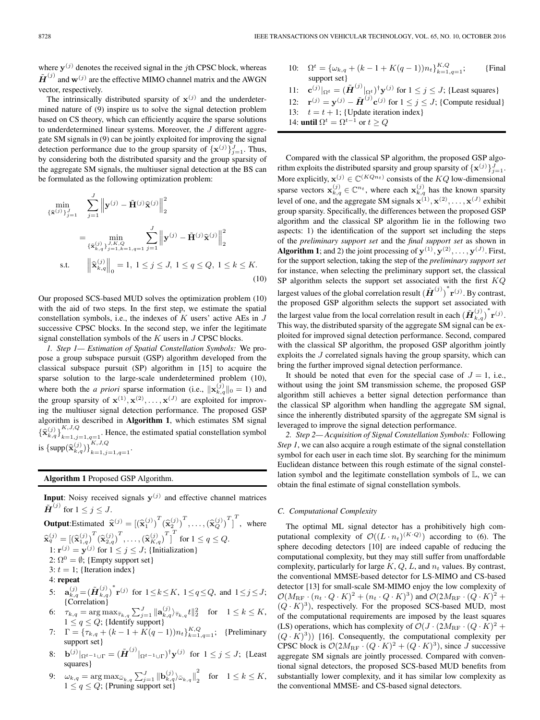where  $y^{(j)}$  denotes the received signal in the *j*th CPSC block, whereas  $\tilde{\mathbf{H}}^{(j)}$  and  $\mathbf{w}^{(j)}$  are the effective MIMO channel matrix and the AWGN vector, respectively.

The intrinsically distributed sparsity of  $\mathbf{x}^{(j)}$  and the underdetermined nature of (9) inspire us to solve the signal detection problem based on CS theory, which can efficiently acquire the sparse solutions to underdetermined linear systems. Moreover, the J different aggregate SM signals in (9) can be jointly exploited for improving the signal detection performance due to the group sparsity of  $\{x^{(j)}\}_{j=1}^J$ . Thus, by considering both the distributed sparsity and the group sparsity of the aggregate SM signals, the multiuser signal detection at the BS can be formulated as the following optimization problem:

$$
\min_{\{\hat{\mathbf{x}}^{(j)}\}_{j=1}^{J}} \sum_{j=1}^{J} \left\| \mathbf{y}^{(j)} - \tilde{\mathbf{H}}^{(j)} \hat{\mathbf{x}}^{(j)} \right\|_{2}^{2}
$$
\n
$$
= \min_{\{\hat{\mathbf{x}}_{k,q}^{(j)}\}_{j=1,k=1,q=1}^{J, K, Q}} \sum_{j=1}^{J} \left\| \mathbf{y}^{(j)} - \tilde{\mathbf{H}}^{(j)} \hat{\mathbf{x}}^{(j)} \right\|_{2}^{2}
$$
\ns.t.  $\left\| \hat{\mathbf{x}}_{k,q}^{(j)} \right\|_{0}^{2} = 1, 1 \le j \le J, 1 \le q \le Q, 1 \le k \le K.$ \n(10)

Our proposed SCS-based MUD solves the optimization problem (10) with the aid of two steps. In the first step, we estimate the spatial constellation symbols, i.e., the indexes of  $K$  users' active AEs in  $J$ successive CPSC blocks. In the second step, we infer the legitimate signal constellation symbols of the  $K$  users in  $J$  CPSC blocks.

*1. Step 1— Estimation of Spatial Constellation Symbols:* We propose a group subspace pursuit (GSP) algorithm developed from the classical subspace pursuit (SP) algorithm in [15] to acquire the sparse solution to the large-scale underdetermined problem (10), where both the *a priori* sparse information (i.e.,  $\|\mathbf{x}_{k,q}^{(j)}\|_0 = 1$ ) and the group sparsity of  $\mathbf{x}^{(1)}, \mathbf{x}^{(2)}, \dots, \mathbf{x}^{(J)}$  are exploited for improving the multiuser signal detection performance. The proposed GSP algorithm is described in **Algorithm 1**, which estimates SM signal  ${\{\widehat{\mathbf{x}}_{k,q}^{(j)}\}}_{k=1,j=1,q=1}^{K,J,Q}$ . Hence, the estimated spatial constellation symbol is  $\{\text{supp}(\widehat{\mathbf{x}}_{k,q}^{(j)})\}_{k=1,j=1,q=1}^{K,J,Q}$ .

**Algorithm 1** Proposed GSP Algorithm.

**Input**: Noisy received signals  $y^{(j)}$  and effective channel matrices  $\tilde{\boldsymbol{H}}^{(j)}$  for  $1 \leq j \leq J$ .

**Output:** Estimate 
$$
\hat{\mathbf{x}}^{(j)} = \left[ (\hat{\mathbf{x}}_1^{(j)})^T (\hat{\mathbf{x}}_2^{(j)})^T, \ldots, (\hat{\mathbf{x}}_Q^{(j)})^T \right]^T
$$
, where  $\hat{\mathbf{x}}_q^{(j)} = \left[ (\hat{\mathbf{x}}_{1,q}^{(j)})^T (\hat{\mathbf{x}}_{2,q}^{(j)})^T, \ldots, (\hat{\mathbf{x}}_{K,q}^{(j)})^T \right]^T$  for  $1 \leq q \leq Q$ . 1:  $\mathbf{r}^{(j)} = \mathbf{y}^{(j)}$  for  $1 \leq j \leq J$ ; {Initialization} 2:  $\Omega^0 = \emptyset$ ; {Empty support set} 3:  $t = 1$ ; {Iteration index} 4: **repeat** 5:  $\mathbf{a}_{k,q}^{(j)} = (\tilde{\mathbf{H}}_{k,q}^{(j)})^* \mathbf{r}^{(j)}$  for  $1 \leq k \leq K$ ,  $1 \leq q \leq Q$ , and  $1 \leq j \leq J$ ; {Correlation}

- 6:  $\alpha_{k,q}$  (1- $k,q$ ) for  $1 \leq k \leq 1$ ,  $1 \leq q \leq q$ , and  $1 \leq j \leq q$ ,<br>
(Correlation)<br>
6:  $\tau_{k,q} = \arg \max_{\tau_{k,q}} \sum_{j=1}^{J} ||\mathbf{a}_{k,q}^{(j)}\rangle_{\tau_{k,q}} t||_2^2$  for  $1 \leq k \leq K$ ,  $1 \leq q \leq Q$ ; {Identify support}
- 7:  $\Gamma = {\tau_{k,q} + (k-1+K(q-1))n_t}_{k=1,q=1}^{K,Q}$ ; {Preliminary support set}
- 8: **b**<sup>(j)</sup> $|_{\Omega^{t-1} \cup \Gamma} = (\tilde{H}^{(j)}|_{\Omega^{t-1} \cup \Gamma})^{\dagger} \mathbf{y}^{(j)}$  for  $1 \leq j \leq J$ ; {Least squares}
- squares}<br>9:  $\omega_{k,q} = \arg \max_{\tilde{\omega}_{k,q}} \sum_{j=1}^{J} ||\mathbf{b}_{k,q}^{(j)}\rangle_{\tilde{\omega}_{k,q}}||$  $\omega_{k,q} = \arg \max_{\tilde{\omega}_{k,q}} \sum_{j=1}^J \left\| \mathbf{b}_{k,q}^{(j)} \right\|_{2} \quad \text{for} \quad 1 \leq k \leq K,$ <br>  $1 \leq q \leq Q$ ; {Pruning support set}
- 10:  $\Omega^t = {\{\omega_{k,q} + (k-1+K(q-1))n_t\}}_{k=1,q=1}^{K,Q};$  [Final support set}
- 11: **c**<sup>(j)</sup> $_{\Omega^t} = (\tilde{\boldsymbol{H}}^{(j)}|_{\Omega^t})^{\dagger} \mathbf{y}^{(j)}$  for  $1 \leq j \leq J$ ; {Least squares}
- 12:  $\mathbf{r}^{(j)} = \mathbf{y}^{(j)} \tilde{\mathbf{H}}^{(j)} \mathbf{c}^{(j)}$  for  $1 \leq j \leq J$ ; {Compute residual}

13:  $t = t + 1$ ; {Update iteration index}

14: **until**  $\Omega^t = \Omega^{t-1}$  or  $t > Q$ 

Compared with the classical SP algorithm, the proposed GSP algorithm exploits the distributed sparsity and group sparsity of  $\{x^{(j)}\}_{j=1}^J$ . More explicitly,  $\mathbf{x}^{(j)} \in \mathbb{C}^{(KQn_t)}$  consists of the KQ low-dimensional sparse vectors  $\mathbf{x}_{k,q}^{(j)} \in \mathbb{C}^{n_t}$ , where each  $\mathbf{x}_{k,q}^{(j)}$  has the known sparsity level of one, and the aggregate SM signals  $\mathbf{x}^{(1)}, \mathbf{x}^{(2)}, \ldots, \mathbf{x}^{(J)}$  exhibit group sparsity. Specifically, the differences between the proposed GSP algorithm and the classical SP algorithm lie in the following two aspects: 1) the identification of the support set including the steps of the *preliminary support set* and the *final support set* as shown in **Algorithm 1**; and 2) the joint processing of  $\mathbf{y}^{(1)}, \mathbf{y}^{(2)}, \dots, \mathbf{y}^{(J)}$ . First, for the support selection, taking the step of the *preliminary support set* for instance, when selecting the preliminary support set, the classical SP algorithm selects the support set associated with the first  $KQ$ largest values of the global correlation result  $(\tilde{H}^{(j)})^* \mathbf{r}^{(j)}$ . By contrast, the proposed GSP algorithm selects the support set associated with the largest value from the local correlation result in each  $(\tilde{H}_{k,q}^{(j)})^* \mathbf{r}^{(j)}$ . This way, the distributed sparsity of the aggregate SM signal can be exploited for improved signal detection performance. Second, compared with the classical SP algorithm, the proposed GSP algorithm jointly exploits the J correlated signals having the group sparsity, which can bring the further improved signal detection performance.

It should be noted that even for the special case of  $J = 1$ , i.e., without using the joint SM transmission scheme, the proposed GSP algorithm still achieves a better signal detection performance than the classical SP algorithm when handling the aggregate SM signal, since the inherently distributed sparsity of the aggregate SM signal is leveraged to improve the signal detection performance.

*2. Step 2— Acquisition of Signal Constellation Symbols:* Following *Step 1*, we can also acquire a rough estimate of the signal constellation symbol for each user in each time slot. By searching for the minimum Euclidean distance between this rough estimate of the signal constellation symbol and the legitimate constellation symbols of L, we can obtain the final estimate of signal constellation symbols.

### *C. Computational Complexity*

The optimal ML signal detector has a prohibitively high computational complexity of  $\mathcal{O}((L \cdot n_t)^{(K \cdot Q)})$  according to (6). The sphere decoding detectors [10] are indeed capable of reducing the computational complexity, but they may still suffer from unaffordable complexity, particularly for large  $K$ ,  $Q$ ,  $L$ , and  $n_t$  values. By contrast, the conventional MMSE-based detector for LS-MIMO and CS-based detector [13] for small-scale SM-MIMO enjoy the low complexity of  $\mathcal{O}(M_{\rm RF} \cdot (n_t \cdot Q \cdot K)^2 + (n_t \cdot Q \cdot K)^3)$  and  $\mathcal{O}(2M_{\rm RF} \cdot (Q \cdot K)^2 +$  $(Q \cdot K)^3$ ), respectively. For the proposed SCS-based MUD, most of the computational requirements are imposed by the least squares (LS) operations, which has complexity of  $\mathcal{O}(J \cdot (2M_{\text{RF}} \cdot (Q \cdot K)^2 +$  $(Q \cdot K)^3$ ) [16]. Consequently, the computational complexity per CPSC block is  $\mathcal{O}(2M_{\text{RF}} \cdot (Q \cdot K)^2 + (Q \cdot K)^3)$ , since J successive aggregate SM signals are jointly processed. Compared with conventional signal detectors, the proposed SCS-based MUD benefits from substantially lower complexity, and it has similar low complexity as the conventional MMSE- and CS-based signal detectors.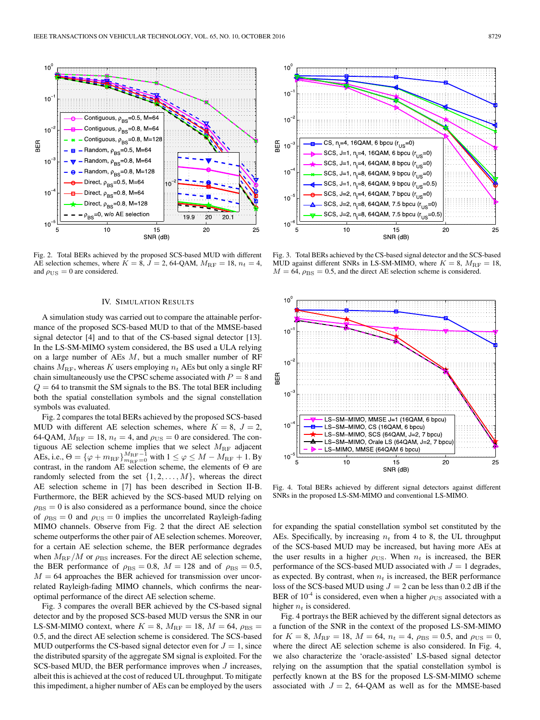

Fig. 2. Total BERs achieved by the proposed SCS-based MUD with different AE selection schemes, where  $K = 8$ ,  $\overline{J} = 2$ , 64-QAM,  $M_{\text{RF}} = 18$ ,  $n_t = 4$ , and  $\rho_{\rm US}=0$  are considered.

#### IV. SIMULATION RESULTS

A simulation study was carried out to compare the attainable performance of the proposed SCS-based MUD to that of the MMSE-based signal detector [4] and to that of the CS-based signal detector [13]. In the LS-SM-MIMO system considered, the BS used a ULA relying on a large number of AEs M, but a much smaller number of RF chains  $M_{\text{RF}}$ , whereas K users employing  $n_t$  AEs but only a single RF chain simultaneously use the CPSC scheme associated with  $P = 8$  and  $Q = 64$  to transmit the SM signals to the BS. The total BER including both the spatial constellation symbols and the signal constellation symbols was evaluated.

Fig. 2 compares the total BERs achieved by the proposed SCS-based MUD with different AE selection schemes, where  $K = 8$ ,  $J = 2$ , 64-QAM,  $M_{\text{RF}} = 18$ ,  $n_t = 4$ , and  $\rho_{\text{US}} = 0$  are considered. The contiguous AE selection scheme implies that we select  $M_{\text{RF}}$  adjacent AEs, i.e.,  $\Theta = \{\varphi + m_{\text{RF}}\}_{m_{\text{RF}}=0}^{M_{\text{RF}}-1}$  with  $1 \leq \varphi \leq M - M_{\text{RF}} + 1$ . By contrast, in the random AE selection scheme, the elements of Θ are randomly selected from the set  $\{1, 2, \ldots, M\}$ , whereas the direct AE selection scheme in [7] has been described in Section II-B. Furthermore, the BER achieved by the SCS-based MUD relying on  $\rho_{\rm BS} = 0$  is also considered as a performance bound, since the choice of  $\rho_{\rm BS} = 0$  and  $\rho_{\rm US} = 0$  implies the uncorrelated Rayleigh-fading MIMO channels. Observe from Fig. 2 that the direct AE selection scheme outperforms the other pair of AE selection schemes. Moreover, for a certain AE selection scheme, the BER performance degrades when  $M_{\rm RF}/M$  or  $\rho_{\rm BS}$  increases. For the direct AE selection scheme, the BER performance of  $\rho_{\rm BS} = 0.8$ ,  $M = 128$  and of  $\rho_{\rm BS} = 0.5$ ,  $M = 64$  approaches the BER achieved for transmission over uncorrelated Rayleigh-fading MIMO channels, which confirms the nearoptimal performance of the direct AE selection scheme.

Fig. 3 compares the overall BER achieved by the CS-based signal detector and by the proposed SCS-based MUD versus the SNR in our LS-SM-MIMO context, where  $K = 8$ ,  $M_{\text{RF}} = 18$ ,  $M = 64$ ,  $\rho_{\text{BS}} =$ 0.5, and the direct AE selection scheme is considered. The SCS-based MUD outperforms the CS-based signal detector even for  $J = 1$ , since the distributed sparsity of the aggregate SM signal is exploited. For the SCS-based MUD, the BER performance improves when *J* increases, albeit this is achieved at the cost of reduced UL throughput. To mitigate this impediment, a higher number of AEs can be employed by the users



Fig. 3. Total BERs achieved by the CS-based signal detector and the SCS-based MUD against different SNRs in LS-SM-MIMO, where  $K = 8$ ,  $M_{\text{RF}} = 18$ ,  $M = 64$ ,  $\rho_{\rm BS} = 0.5$ , and the direct AE selection scheme is considered.



Fig. 4. Total BERs achieved by different signal detectors against different SNRs in the proposed LS-SM-MIMO and conventional LS-MIMO.

for expanding the spatial constellation symbol set constituted by the AEs. Specifically, by increasing  $n_t$  from 4 to 8, the UL throughput of the SCS-based MUD may be increased, but having more AEs at the user results in a higher  $\rho_{\text{US}}$ . When  $n_t$  is increased, the BER performance of the SCS-based MUD associated with  $J = 1$  degrades, as expected. By contrast, when  $n_t$  is increased, the BER performance loss of the SCS-based MUD using  $J = 2$  can be less than 0.2 dB if the BER of 10<sup>-4</sup> is considered, even when a higher  $\rho_{\text{US}}$  associated with a higher  $n_t$  is considered.

Fig. 4 portrays the BER achieved by the different signal detectors as a function of the SNR in the context of the proposed LS-SM-MIMO for  $K = 8$ ,  $M_{\text{RF}} = 18$ ,  $M = 64$ ,  $n_t = 4$ ,  $\rho_{\text{BS}} = 0.5$ , and  $\rho_{\text{US}} = 0$ , where the direct AE selection scheme is also considered. In Fig. 4, we also characterize the 'oracle-assisted' LS-based signal detector relying on the assumption that the spatial constellation symbol is perfectly known at the BS for the proposed LS-SM-MIMO scheme associated with  $J = 2$ , 64-QAM as well as for the MMSE-based